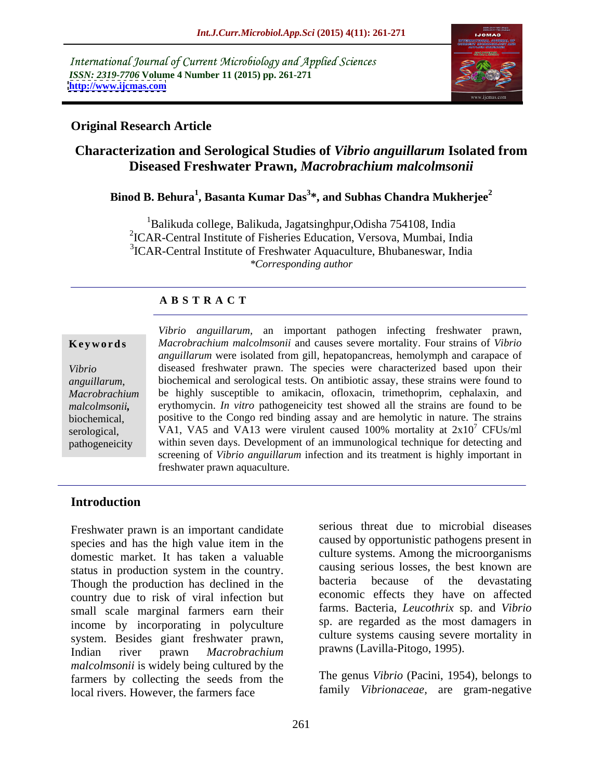International Journal of Current Microbiology and Applied Sciences *ISSN: 2319-7706* **Volume 4 Number 11 (2015) pp. 261-271 <http://www.ijcmas.com>**



## **Original Research Article**

## **Characterization and Serological Studies of** *Vibrio anguillarum* **Isolated from Diseased Freshwater Prawn,** *Macrobrachium malcolmsonii*

## **Binod B. Behura<sup>1</sup> , Basanta Kumar Das<sup>3</sup> \*, and Subhas Chandra Mukherjee<sup>2</sup>**

1Balikuda college, Balikuda, Jagatsinghpur,Odisha 754108, India 2 ICAR-Central Institute of Fisheries Education, Versova, Mumbai, India 3 ICAR-Central Institute of Freshwater Aquaculture, Bhubaneswar, India *\*Corresponding author*

## **A B S T R A C T**

*anguillarum*, *malcolmsonii,* pathogeneicity

*Vibrio anguillarum,* an important pathogen infecting freshwater prawn, *Macrobrachium malcolmsonii* and causes severe mortality. Four strains of *Vibrio* **Ke ywo rds** *anguillarum* were isolated from gill, hepatopancreas, hemolymph and carapace of Vibrio diseased freshwater prawn. The species were characterized based upon their biochemical and serological tests. On antibiotic assay, these strains were found to be highly susceptible to amikacin, ofloxacin, trimethoprim, cephalaxin, and *Macrobrachium*  erythomycin. *In vitro* pathogeneicity test showed all the strains are found to be positive to the Congo red binding assay and are hemolytic in nature. The strains biochemical, serological, VA1, VA5 and VA13 were virulent caused 100% mortality at  $2x10<sup>7</sup>$  CFUs/ml <sup>7</sup> CFUs/ml within seven days. Development of an immunological technique for detecting and screening of *Vibrio anguillarum* infection and its treatment is highly important in freshwater prawn aquaculture.

## **Introduction**

Freshwater prawn is an important candidate species and has the high value item in the caused by opportunistic pathogens present in domestic market. It has taken a valuable status in production system in the country. Causing serious losses, the best known are<br>Though the production has declined in the bacteria because of the devastating Though the production has declined in the country due to risk of viral infection but small scale marginal farmers earn their income by incorporating in polyculture system. Besides giant freshwater prawn, Indian river prawn *Macrobrachium malcolmsonii* is widely being cultured by the farmers by collecting the seeds from the local rivers. However, the farmers face

serious threat due to microbial diseases caused by opportunistic pathogens present in culture systems. Among the microorganisms causing serious losses, the best known are bacteria because of the devastating economic effects they have on affected farms. Bacteria, *Leucothrix* sp. and *Vibrio* sp. are regarded as the most damagers in culture systems causing severe mortality in prawns (Lavilla-Pitogo, 1995).

The genus *Vibrio* (Pacini, 1954), belongs to family *Vibrionaceae,* are gram-negative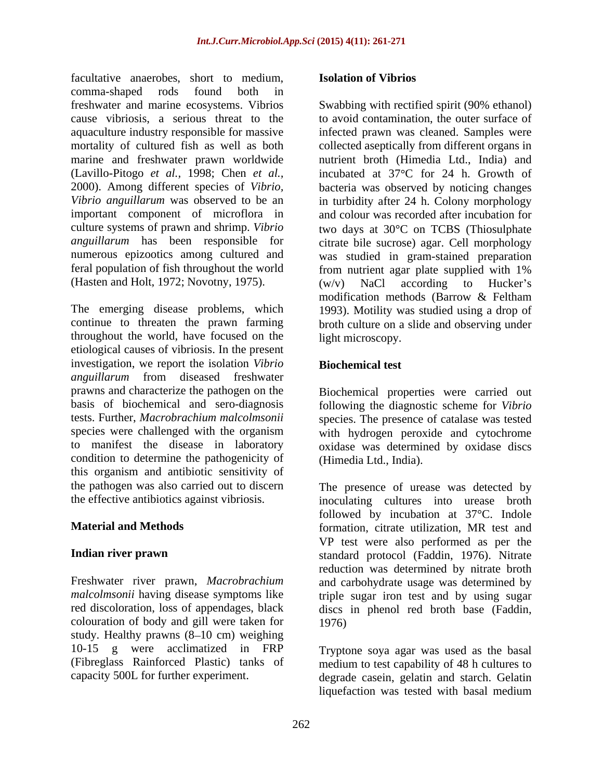facultative anaerobes, short to medium, comma-shaped rods found both in freshwater and marine ecosystems. Vibrios cause vibriosis, a serious threat to the to avoid contamination, the outer surface of aquaculture industry responsible for massive mortality of cultured fish as well as both collected aseptically from different organs in marine and freshwater prawn worldwide (Lavillo-Pitogo *et al.,* 1998; Chen *et al.,* incubated at 37 C for 24 h. Growth of 2000). Among different species of *Vibrio,* bacteria was observed by noticing changes *Vibrio anguillarum* was observed to be an in turbidity after 24 h. Colony morphology important component of microflora in and colour was recorded after incubation for culture systems of prawn and shrimp. *Vibrio* two days at 30°C on TCBS (Thiosulphate *anguillarum* has been responsible for citrate bile sucrose) agar. Cell morphology numerous epizootics among cultured and was studied in gram-stained preparation feral population of fish throughout the world (Hasten and Holt, 1972; Novotny, 1975). (w/y) NaCl according to Hucker's

The emerging disease problems, which 1993). Motility was studied using a drop of continue to threaten the prawn farming broth culture on a slide and observing under throughout the world, have focused on the etiological causes of vibriosis. In the present investigation, we report the isolation *Vibrio anguillarum* from diseased freshwater prawns and characterize the pathogen on the Biochemical properties were carried out basis of biochemical and sero-diagnosis following the diagnostic scheme for *Vibrio* tests. Further, *Macrobrachium malcolmsonii* species. The presence of catalase was tested species were challenged with the organism with hydrogen peroxide and cytochrome to manifest the disease in laboratory oxidase was determined by oxidase discs condition to determine the pathogenicity of this organism and antibiotic sensitivity of

colouration of body and gill were taken for study. Healthy prawns  $(8-10 \text{ cm})$  weighing 10-15 g were acclimatized in FRP Tryptone soya agar was used as the basal (Fibreglass Rainforced Plastic) tanks of medium to test capability of 48 h cultures to

### **Isolation of Vibrios**

Swabbing with rectified spirit (90% ethanol) infected prawn was cleaned. Samples were nutrient broth (Himedia Ltd., India) and from nutrient agar plate supplied with 1%  $(w/v)$  NaCl according to Hucker's modification methods (Barrow & Feltham light microscopy.

## **Biochemical test**

(Himedia Ltd., India).

the pathogen was also carried out to discern The presence of urease was detected by the effective antibiotics against vibriosis. inoculating cultures into urease broth **Material and Methods** formation, citrate utilization, MR test and **Indian river prawn** standard protocol (Faddin, 1976). Nitrate Freshwater river prawn, *Macrobrachium*  and carbohydrate usage was determined by *malcolmsonii* having disease symptoms like triple sugar iron test and by using sugar red discoloration, loss of appendages, black discs in phenol red broth base (Faddin, followed by incubation at 37°C. Indole VP test were also performed as per the reduction was determined by nitrate broth 1976)

capacity 500L for further experiment. degrade casein, gelatin and starch. Gelatin liquefaction was tested with basal medium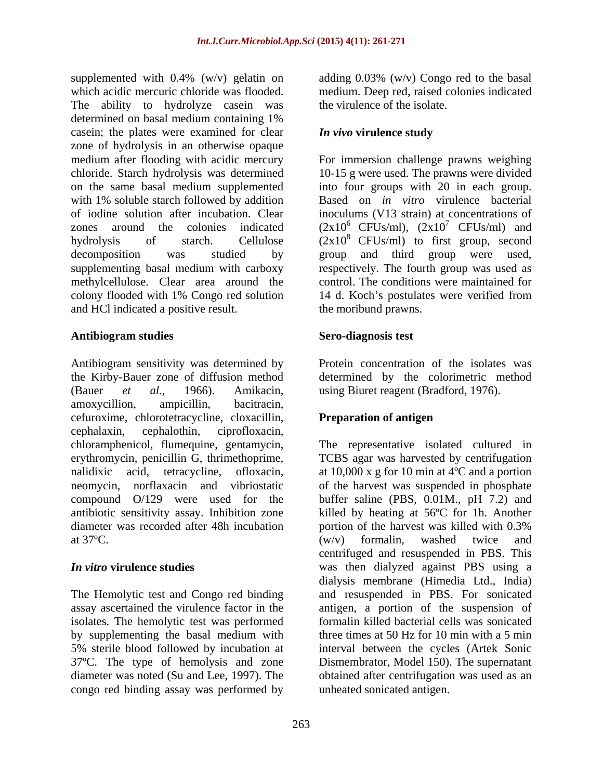supplemented with 0.4% (w/v) gelatin on adding 0.03% (w/v) Congo red to the basal which acidic mercuric chloride was flooded. medium. Deep red, raised colonies indicated The ability to hydrolyze casein was determined on basal medium containing 1% casein; the plates were examined for clear *In vivo* virulence study zone of hydrolysis in an otherwise opaque medium after flooding with acidic mercury For immersion challenge prawns weighing chloride. Starch hydrolysis was determined 10-15 g were used. The prawns were divided on the same basal medium supplemented into four groups with 20 in each group. with 1% soluble starch followed by addition Based on *in vitro* virulence bacterial of iodine solution after incubation. Clear zones around the colonies indicated  $(2x10^6 \text{ CFUs/ml})$ ,  $(2x10^7 \text{ CFUs/ml})$  and hydrolysis of starch. Cellulose  $(2x10^8 \text{ CFUs/ml})$  to first group, second decomposition was studied by group and third group were used, supplementing basal medium with carboxy respectively. The fourth group was used as methylcellulose. Clear area around the control. The conditions were maintained for colony flooded with 1% Congo red solution 14 d. Koch's postulates were verified from and HCl indicated a positive result.

### **Antibiogram studies**

Antibiogram sensitivity was determined by the Kirby-Bauer zone of diffusion method determined by the colorimetric method (Bauer *et al.,* 1966). Amikacin, using Biuret reagent (Bradford, 1976). amoxycillion, ampicillin, bacitracin, cefuroxime, chlorotetracycline, cloxacillin, cephalaxin, cephalothin, ciprofloxacin, chloramphenicol, flumequine, gentamycin, The representative isolated cultured in erythromycin, penicillin G, thrimethoprime, TCBS agar was harvested by centrifugation nalidixic acid, tetracycline, ofloxacin, at 10,000 x g for 10 min at 4ºC and a portion neomycin, norflaxacin and vibriostatic of the harvest was suspended in phosphate compound O/129 were used for the antibiotic sensitivity assay. Inhibition zone killed by heating at 56ºC for 1h. Another diameter was recorded after 48h incubation bortion of the harvest was killed with 0.3%

isolates. The hemolytic test was performed by supplementing the basal medium with congo red binding assay was performed by

the virulence of the isolate.

## *In vivo* **virulence study**

inoculums (V13 strain) at concentrations of  $^7$  CFUs/ml) and 14 d. Koch's postulates were verified from the moribund prawns.

## **Sero-diagnosis test**

Protein concentration of the isolates was

## **Preparation of antigen**

at  $37^{\circ}$ C.  $(w/v)$  formalin, washed twice and *In vitro* **virulence studies** was then dialyzed against PBS using a The Hemolytic test and Congo red binding and resuspended in PBS. For sonicated assay ascertained the virulence factor in the antigen, a portion of the suspension of 5% sterile blood followed by incubation at interval between the cycles (Artek Sonic 37ºC. The type of hemolysis and zone Dismembrator, Model 150). The supernatant diameter was noted (Su and Lee, 1997). The obtained after centrifugation was used as an buffer saline (PBS, 0.01M., pH 7.2) and portion of the harvest was killed with 0.3% (w/v) formalin, washed twice and centrifuged and resuspended in PBS. This dialysis membrane (Himedia Ltd., India) formalin killed bacterial cells was sonicated three times at 50 Hz for 10 min with a 5 min unheated sonicated antigen.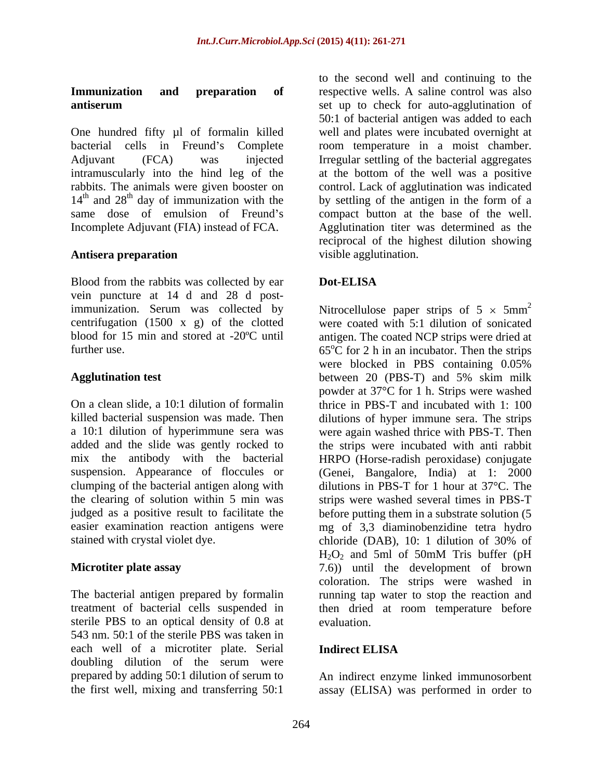One hundred fifty ul of formalin killed bacterial cells in Freund's Complete some temperature in a moist chamber. Adjuvant (FCA) was injected Irregular settling of the bacterial aggregates intramuscularly into the hind leg of the at the bottom of the well was a positive rabbits. The animals were given booster on control. Lack of agglutination was indicated  $14<sup>th</sup>$  and  $28<sup>th</sup>$  day of immunization with the by settling of the antigen in the form of a same dose of emulsion of Freund's compact button at the base of the well. Incomplete Adjuvant (FIA) instead of FCA.

Blood from the rabbits was collected by ear **Dot-ELISA** vein puncture at 14 d and 28 d postcentrifugation (1500 x g) of the clotted

stained with crystal violet dye. chloride (DAB), 10: 1 dilution of 30% of

sterile PBS to an optical density of 0.8 at 543 nm. 50:1 of the sterile PBS was taken in each well of a microtiter plate. Serial **Indirect ELISA** doubling dilution of the serum were prepared by adding 50:1 dilution of serum to An indirect enzyme linked immunosorbent

**Immunization** and **preparation** of respective wells. A saline control was also **antiserum** set up to check for auto-agglutination of **Antisera preparation** and **research in the set of set of set of set of set of set of set of set of set of set of set of set of set of set of set of set of set of set of set of set of set of set of set of set of set of set** to the second well and continuing to the 50:1 of bacterial antigen was added to each well and plates were incubated overnight at Agglutination titer was determined as the reciprocal of the highest dilution showing visible agglutination.

## **Dot-ELISA**

immunization. Serum was collected by Mitrocellulose paper strips of  $5 \times 5 \text{mm}^2$ blood for 15 min and stored at -20ºC until antigen. The coated NCP strips were dried at further use.  $65^{\circ}$ C for 2 h in an incubator. Then the strips **Agglutination test** between 20 (PBS-T) and 5% skim milk On a clean slide, a 10:1 dilution of formalin thrice in PBS-T and incubated with 1: 100 killed bacterial suspension was made. Then dilutions of hyper immune sera. The strips a 10:1 dilution of hyperimmune sera was were again washed thrice with PBS-T. Then added and the slide was gently rocked to the strips were incubated with anti rabbit mix the antibody with the bacterial HRPO (Horse-radish peroxidase) conjugate suspension. Appearance of floccules or (Genei, Bangalore, India) at 1: 2000 clumping of the bacterial antigen along with dilutions in PBS-T for 1 hour at 37°C. The the clearing of solution within 5 min was strips were washed several times in PBS-T judged as a positive result to facilitate the before putting them in a substrate solution (5 easier examination reaction antigens were mg of 3,3 diaminobenzidine tetra hydro **Microtiter plate assay** (7.6) until the development of brown The bacterial antigen prepared by formalin running tap water to stop the reaction and treatment of bacterial cells suspended in then dried at room temperature before 2 were coated with 5:1 dilution of sonicated were blocked in PBS containing 0.05% powder at 37°C for 1 h. Strips were washed chloride (DAB), 10: 1 dilution of 30% of  $H_2O_2$  and 5ml of 50mM Tris buffer (pH coloration. The strips were washed in evaluation.

### **Indirect ELISA**

the first well, mixing and transferring 50:1 assay (ELISA) was performed in order to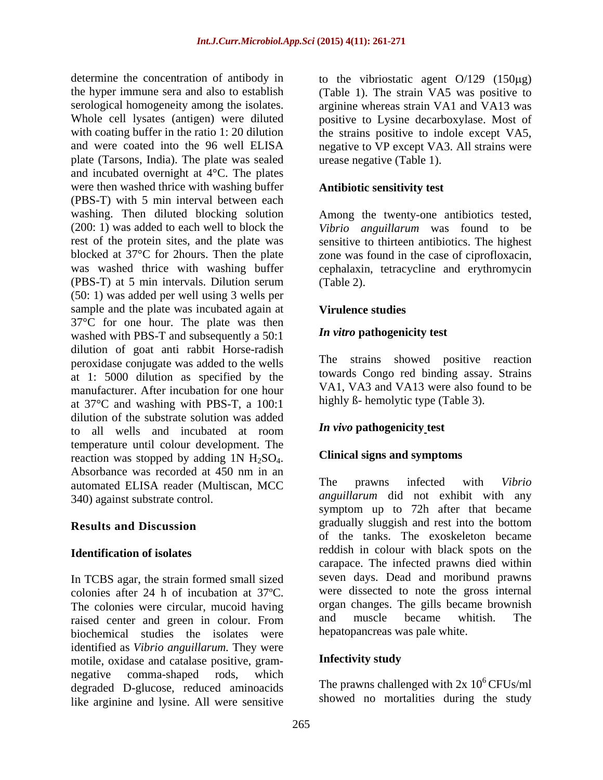serological homogeneity among the isolates. plate (Tarsons, India). The plate was sealed and incubated overnight at  $4^{\circ}$ C. The plates were then washed thrice with washing buffer (PBS-T) with 5 min interval between each washing. Then diluted blocking solution Among the twenty-one antibiotics tested, (200: 1) was added to each well to block the *Vibrio anguillarum* was found to be rest of the protein sites, and the plate was sensitive to thirteen antibiotics. The highest blocked at 37°C for 2hours. Then the plate zone was found in the case of ciprofloxacin, was washed thrice with washing buffer cephalaxin, tetracycline and erythromycin (PBS-T) at 5 min intervals. Dilution serum (50: 1) was added per well using 3 wells per sample and the plate was incubated again at **Virulence studies** 37°C for one hour. The plate was then washed with PBS-T and subsequently a 50:1 dilution of goat anti rabbit Horse-radish peroxidase conjugate was added to the wells at 1: 5000 dilution as specified by the manufacturer. After incubation for one hour at 37°C and washing with PBS-T, a 100:1 dilution of the substrate solution was added to all wells and incubated at room **In the U.S. In the U.S.** In the set of the unit of the set of the unit of the set of the set of the set of the set of the set of the set of the set of the set of the set of the set of temperature until colour development. The reaction was stopped by adding 1N  $H_2SO_4$ . Clinical signs and symptoms<br>Absorbance was recorded at 450 nm in an automated ELISA reader (Multiscan, MCC 340) against substrate control.

In TCBS agar, the strain formed small sized colonies after 24 h of incubation at 37ºC. The colonies were circular, mucoid having organ changes. The gills became brownish<br>raised center and green in colour From and muscle became whitish. The raised center and green in colour. From biochemical studies the isolates were identified as *Vibrio anguillarum*. They were<br>motile, oxidase and catalase positive, gram-<br>**Infectivity study** motile, oxidase and catalase positive, gram negative comma-shaped rods, which degraded D-glucose, reduced aminoacids like arginine and lysine. All were sensitive

determine the concentration of antibody in  $\qquad$  to the vibriostatic agent  $O/129$  (150 $\mu$ g) the hyper immune sera and also to establish (Table 1). The strain VA5 was positive to Whole cell lysates (antigen) were diluted positive to Lysine decarboxylase. Most of with coating buffer in the ratio 1: 20 dilution the strains positive to indole except VA5, and were coated into the 96 well ELISA negative to VP except VA3. All strains were arginine whereas strain VA1 and VA13 was urease negative (Table 1).

## **Antibiotic sensitivity test**

(Table 2).

## **Virulence studies**

### *In vitro* **pathogenicity test**

The strains showed positive reaction towards Congo red binding assay. Strains VA1, VA3 and VA13 were also found to be highly  $\beta$ - hemolytic type (Table 3).

## *In vivo* **pathogenicity test**

## **Clinical signs and symptoms**

**Results and Discussion Identification of isolates** reddish in colour with black spots on the The prawns infected with *Vibrio anguillarum* did not exhibit with any symptom up to 72h after that became gradually sluggish and rest into the bottom of the tanks. The exoskeleton became carapace. The infected prawns died within seven days. Dead and moribund prawns were dissected to note the gross internal organ changes. The gills became brownish and muscle became whitish. The hepatopancreas was pale white.

## **Infectivity study**

The prawns challenged with  $2x 10^6$  CFUs/ml showed no mortalities during the study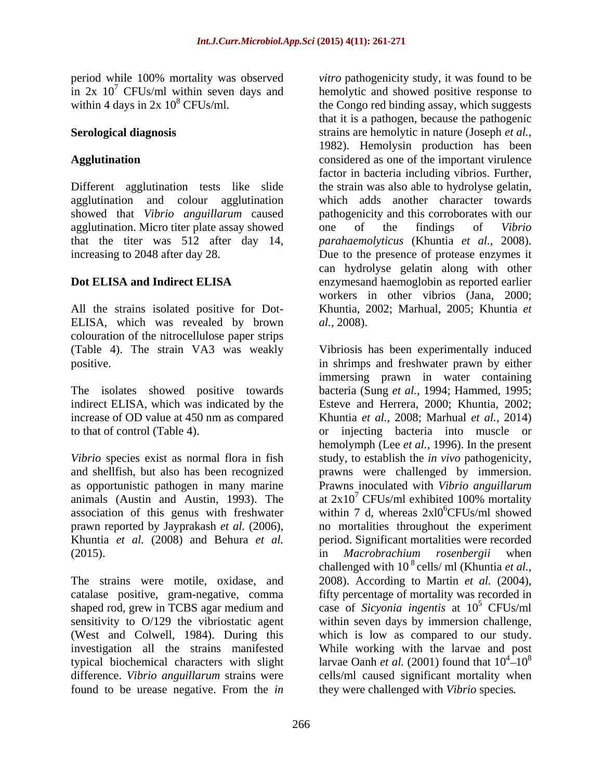period while 100% mortality was observed

agglutination. Micro titer plate assay showed one of the findings of Vibrio

ELISA, which was revealed by brown al., 2008). colouration of the nitrocellulose paper strips

animals (Austin and Austin, 1993). The association of this genus with freshwater (2015). The *Macrobrachium rosenbergii* when

shaped rod, grew in TCBS agar medium and

in  $2x$   $10^7$  CFUs/ml within seven days and hemolytic and showed positive response to within 4 days in  $2x\ 10^8$  CFUs/ml. the Congo red binding assay, which suggests **Serological diagnosis**  strains are hemolytic in nature (Joseph *et al.,* Agglutination **and a considered** as one of the important virulence Different agglutination tests like slide the strain was also able to hydrolyse gelatin, agglutination and colour agglutination which adds another character towards showed that *Vibrio anguillarum* caused pathogenicity and this corroborates with our that the titer was 512 after day 14, *parahaemolyticus* (Khuntia *et al.,* 2008). increasing to 2048 after day 28. Due to the presence of protease enzymes it **Dot ELISA and Indirect ELISA** enzymesand haemoglobin as reported earlier All the strains isolated positive for Dot- Khuntia, 2002; Marhual, 2005; Khuntia *et vitro* pathogenicity study, it was found to be that it is a pathogen, because the pathogenic 1982). Hemolysin production has been factor in bacteria including vibrios. Further, one of the findings of *Vibrio*  can hydrolyse gelatin along with other workers in other vibrios (Jana, 2000; *al.,* 2008).

(Table 4). The strain VA3 was weakly Vibriosis has been experimentally induced positive. in shrimps and freshwater prawn by either The isolates showed positive towards bacteria (Sung *et al.,* 1994; Hammed, 1995; indirect ELISA, which was indicated by the Esteve and Herrera, 2000; Khuntia, 2002; increase of OD value at 450 nm as compared Khuntia *et al.,* 2008; Marhual *et al.,* 2014) to that of control (Table 4). or injecting bacteria into muscle or *Vibrio* species exist as normal flora in fish study, to establish the *in vivo* pathogenicity, and shellfish, but also has been recognized prawns were challenged by immersion. as opportunistic pathogen in many marine Prawns inoculated with *Vibrio anguillarum* prawn reported by Jayprakash *et al.* (2006), no mortalities throughout the experiment Khuntia *et al.* (2008) and Behura *et al.* period. Significant mortalities were recorded The strains were motile, oxidase, and 2008). According to Martin *et al.* (2004), catalase positive, gram-negative, comma fifty percentage of mortality was recorded in sensitivity to O/129 the vibriostatic agent within seven days by immersion challenge, (West and Colwell, 1984). During this which is low as compared to our study. investigation all the strains manifested While working with the larvae and post typical biochemical characters with slight larvae Oanh *et al.* (2001) found that  $10^4$ – $10^8$ difference. *Vibrio anguillarum* strains were cells/ml caused significant mortality when found to be urease negative. From the *in*  immersing prawn in water containing hemolymph (Lee *et al.,* 1996). In the present at  $2x10^7$  CFUs/ml exhibited 100% mortality  $7$  CFUs/ml exhibited 100% mortality within 7 d, whereas  $2x10^6$ CFUs/ml showed 6CFUs/ml showed in *Macrobrachium rosenbergii* when challenged with 10<sup>8</sup> cells/ ml (Khuntia *et al.*, case of *Sicyonia ingentis* at 10 <sup>5</sup> CFUs/ml  $4^{1}10^{8}$ 10<sup>8</sup> they were challenged with *Vibrio* species*.*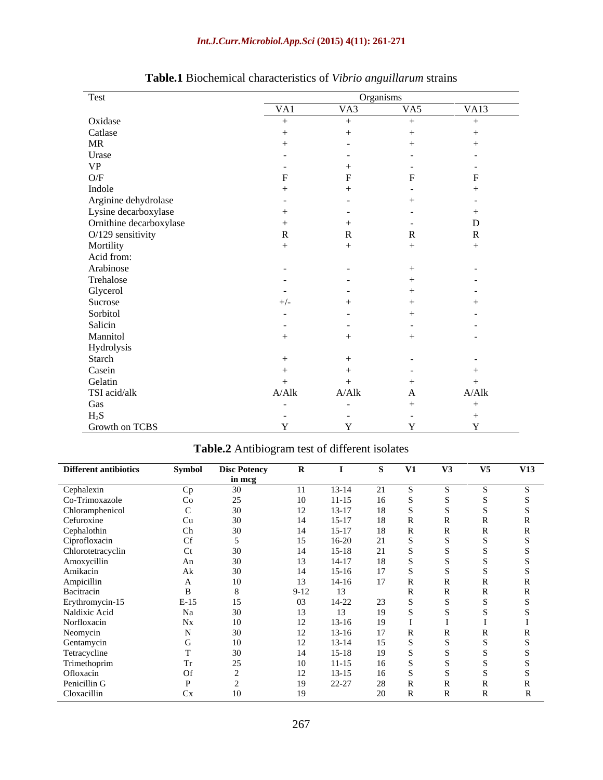## *Int.J.Curr.Microbiol.App.Sci* **(2015) 4(11): 261-271**

| Test                                         |            | Organisms |              |                  |
|----------------------------------------------|------------|-----------|--------------|------------------|
|                                              | VA1        | VA3       | VA5          | VA <sub>13</sub> |
| Oxidase                                      | $+$        |           | $+$          | and the control  |
| Catlase                                      |            |           |              |                  |
| MR                                           |            |           |              |                  |
|                                              |            |           |              |                  |
| Urase<br>VP                                  |            |           |              |                  |
| $\mathrm{O/F}$                               |            |           |              |                  |
| Indole                                       |            |           |              |                  |
| Arginine dehydrolase<br>Lysine decarboxylase |            |           |              |                  |
|                                              |            |           |              |                  |
| Ornithine decarboxylase                      |            |           |              |                  |
| O/129 sensitivity                            |            |           |              |                  |
| Mortility                                    |            |           |              |                  |
| Acid from:                                   |            |           |              |                  |
| Arabinose                                    |            |           |              |                  |
| Trehalose                                    |            |           |              |                  |
| Glycerol                                     |            |           |              |                  |
|                                              |            |           |              |                  |
| Sucrose<br>Sorbitol                          |            |           |              |                  |
| Salicin                                      |            |           |              |                  |
| Mannitol                                     |            |           |              |                  |
| Hydrolysis                                   |            |           |              |                  |
| Starch                                       |            |           |              |                  |
|                                              |            |           |              |                  |
| Casein<br>Gelatin                            |            |           |              |                  |
| TSI acid/alk                                 | A/Alk      | A/Alk     | $\mathbf{A}$ | A/Alk            |
| Gas                                          | $\sim$ $-$ | $\sim$    |              |                  |
| $H_2S$                                       |            |           |              |                  |
| Growth on TCBS                               |            |           |              |                  |

# **Table.1** Biochemical characteristics of *Vibrio anguillarum* strains

| <b>Different antibiotics</b>                                        | Symbol           | <b>Disc Potency</b> | $\mathbf{R}$ |           | $S$ $V1$ | V3 | V5 | <b>V13</b> |
|---------------------------------------------------------------------|------------------|---------------------|--------------|-----------|----------|----|----|------------|
|                                                                     |                  | in mcg              |              |           |          |    |    |            |
|                                                                     | $C_{\mathbf{n}}$ | 30                  |              | $13-14$   |          |    |    |            |
| Cephalexin<br>Co-Trimoxazole                                        | Co               | 25                  |              |           |          |    |    |            |
| Chloramphenicol                                                     |                  | 30                  | $1^{\circ}$  | $13 - 17$ |          |    |    |            |
|                                                                     | Cu               | 30                  |              |           |          |    |    |            |
|                                                                     | Ch               | 30                  |              |           |          |    |    |            |
|                                                                     | <b>Cf</b>        |                     |              |           |          |    |    |            |
| Cefuroxine<br>Cephalothin<br>Ciprofloxacin<br>Chlorotetracyclin     |                  |                     |              |           |          |    |    |            |
|                                                                     | Ct               | 30                  |              |           |          |    |    |            |
| Amoxycillin<br>Amikacin                                             | An               | 30                  | 13           |           |          |    |    |            |
|                                                                     | Ak               | 30                  |              |           |          |    |    |            |
|                                                                     | $\mathbf{L}$     | 10                  |              |           |          |    |    |            |
| Ampicillin<br>Bacitracin                                            |                  |                     | $9-12$       |           |          |    |    |            |
| Erythromycin-15<br>Naldixic Acid                                    | $E-15$           | 15                  |              |           |          |    |    |            |
|                                                                     | Na               | 30                  |              |           |          |    |    |            |
| Norfloxacin                                                         | Nx               | 10                  |              |           |          |    |    |            |
| Neomycin<br>Gentamycin<br>Tetracycline<br>Trimethoprim<br>Ofloxacin |                  | 30                  |              |           |          |    |    |            |
|                                                                     |                  | 10                  |              |           |          |    |    |            |
|                                                                     |                  | 30                  |              |           |          |    |    |            |
|                                                                     | Tr               | $\bigcap$           |              |           |          |    |    |            |
|                                                                     | <b>Of</b>        |                     |              |           |          |    |    |            |
|                                                                     |                  |                     |              |           |          |    |    |            |
| Penicillin G                                                        |                  |                     |              | $22 - 21$ |          |    |    |            |
| Cloxacillin                                                         | Cx               |                     |              |           |          |    |    |            |

## **Table.2** Antibiogram test of different isolates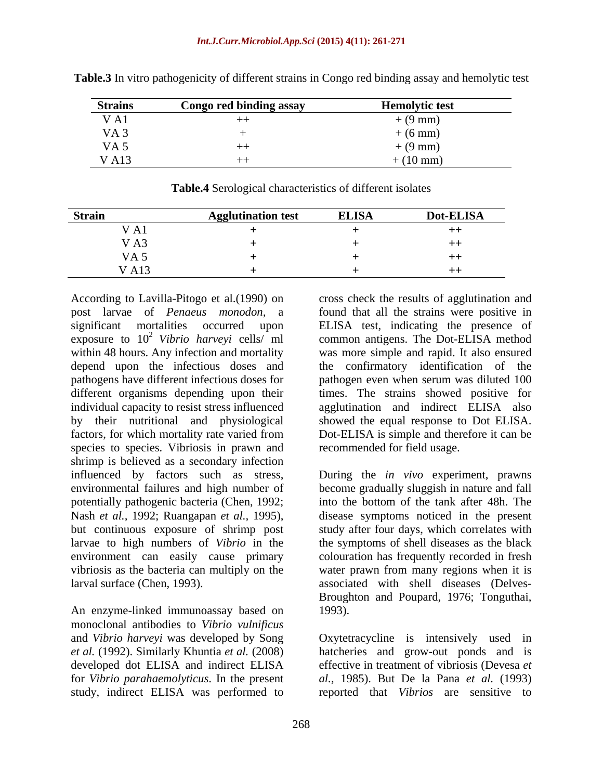| <b>Strains</b>  | Congo red binding assay | <b>Hemolytic test</b> |
|-----------------|-------------------------|-----------------------|
| V A1            |                         | $+ (9 \text{ mm})$    |
| VA <sub>3</sub> |                         | $(6 \text{ mm})$      |
| VA <sub>5</sub> |                         | $\sim$ (9 mm,         |
| <b>VA13</b>     |                         | $(10 \text{ mm})$     |

**Table.3** In vitro pathogenicity of different strains in Congo red binding assay and hemolytic test

| <b>Strain</b>   | gglutination test | <b>ELISA</b> | <b>Dot-ELISA</b> |
|-----------------|-------------------|--------------|------------------|
| V A1            |                   |              |                  |
| V A3            |                   |              |                  |
| VA <sub>5</sub> |                   |              |                  |
| <b>VA13</b>     |                   |              |                  |

**Table.4** Serological characteristics of different isolates

post larvae of *Penaeus monodon,* a exposure to  $10^2$  Vibrio harveyi cells/ ml species to species. Vibriosis in prawn and shrimp is believed as a secondary infection influenced by factors such as stress, During the *in vivo* experiment, prawns environmental failures and high number of become gradually sluggish in nature and fall potentially pathogenic bacteria (Chen, 1992; Nash *et al.,* 1992; Ruangapan *et al.,* 1995), but continuous exposure of shrimp post study after four days, which correlates with larvae to high numbers of *Vibrio* in the the symptoms of shell diseases as the black environment can easily cause primary vibriosis as the bacteria can multiply on the

An enzyme-linked immunoassay based on 1993). monoclonal antibodies to *Vibrio vulnificus* and *Vibrio harveyi* was developed by Song Oxytetracycline is intensively used in *et al.* (1992). Similarly Khuntia *et al.* (2008) hatcheries and grow-out ponds and is developed dot ELISA and indirect ELISA for *Vibrio parahaemolyticus*. In the present study, indirect ELISA was performed to reported that *Vibrios* are sensitive to

According to Lavilla-Pitogo et al. (1990) on cross check the results of agglutination and significant mortalities occurred upon ELISA test, indicating the presence of <sup>2</sup> Vibrio harveyi cells/ ml common antigens. The Dot-ELISA method within 48 hours. Any infection and mortality was more simple and rapid. It also ensured depend upon the infectious doses and the confirmatory identification of the pathogens have different infectious doses for pathogen even when serum was diluted 100 different organisms depending upon their times. The strains showed positive for individual capacity to resist stress influenced agglutination and indirect ELISA also by their nutritional and physiological showed the equal response to Dot ELISA. factors, for which mortality rate varied from Dot-ELISA is simple and therefore it can be found that all the strains were positive in recommended for field usage.

larval surface (Chen, 1993). associated with shell diseases (Delves into the bottom of the tank after 48h. The disease symptoms noticed in the present colouration has frequently recorded in fresh water prawn from many regions when it is Broughton and Poupard, 1976; Tonguthai, 1993).

> effective in treatment of vibriosis (Devesa *et al.,* 1985). But De la Pana *et al.* (1993)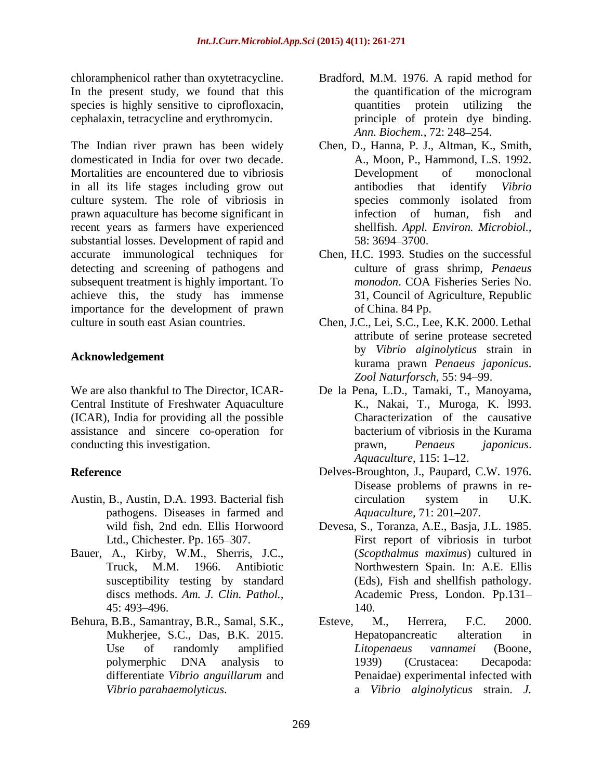chloramphenicol rather than oxytetracycline. Bradford, M.M. 1976. A rapid method for In the present study, we found that this the quantification of the microgram species is highly sensitive to ciprofloxacin, and squantities protein utilizing the cephalaxin, tetracycline and erythromycin.

The Indian river prawn has been widely Chen, D., Hanna, P. J., Altman, K., Smith, domesticated in India for over two decade. Mortalities are encountered due to vibriosis **Example 19 Development** of monoclonal in all its life stages including grow out antibodies that identify *Vibrio* culture system. The role of vibriosis in species commonly isolated from prawn aquaculture has become significant in recent years as farmers have experienced substantial losses. Development of rapid and  $58: 3694-3700$ . accurate immunological techniques for detecting and screening of pathogens and subsequent treatment is highly important. To achieve this, the study has immense importance for the development of prawn culture in south east Asian countries. Chen, J.C., Lei, S.C., Lee, K.K. 2000. Lethal phearior attention of the mail of the main in the state of the state of state in the state in the state of the main in the state of the main in the state of the main inverse the state in the state of the main inverse the s

Central Institute of Freshwater Aquaculture (ICAR), India for providing all the possible assistance and sincere co-operation for conducting this investigation. The conducting this investigation.

- Austin, B., Austin, D.A. 1993. Bacterial fish pathogens. Diseases in farmed and
- Bauer, A., Kirby, W.M., Sherris, J.C.,
- differentiate *Vibrio anguillarum* and
- the quantification of the microgram quantities protein utilizing principle of protein dye binding. Ann. Biochem., 72: 248-254.
- A., Moon, P., Hammond, L.S. 1992. Development of monoclonal antibodies that identify *Vibrio* species commonly isolated from infection of human, fish shellfish. *Appl. Environ. Microbiol.,* 58: 3694 3700.
- Chen, H.C. 1993. Studies on the successful culture of grass shrimp, *Penaeus monodon*. COA Fisheries Series No. 31, Council of Agriculture, Republic of China. 84 Pp.
- **Acknowledgement** kurama prawn *Penaeus japonicus*. attribute of serine protease secreted by *Vibrio alginolyticus* strain in Zool Naturforsch, 55: 94-99.
- We are also thankful to The Director, ICAR- De la Pena, L.D., Tamaki, T., Manoyama, K., Nakai, T., Muroga, K. l993. Characterization of the causative bacterium of vibriosis in the Kurama prawn, *Penaeus japonicus*. *Aquaculture,* 115: 1–12.
- **Reference** Delves-Broughton, J., Paupard, C.W. 1976. Disease problems of prawns in re circulation system in U.K. *Aquaculture,* 71: 201 207*.*
	- wild fish, 2nd edn. Ellis Horwoord Devesa, S., Toranza, A.E., Basja, J.L. 1985. Ltd., Chichester. Pp. 165–307. First report of vibriosis in turbot Truck, M.M. 1966. Antibiotic Northwestern Spain. In: A.E. Ellis susceptibility testing by standard (Eds), Fish and shellfish pathology. discs methods. *Am. J. Clin. Pathol.,*  Academic Press, London. Pp.131 45: 493 496. (*Scopthalmus maximus*) cultured in 140.
- Behura, B.B., Samantray, B.R., Samal, S.K., Esteve, M., Herrera, F.C. 2000. Mukherjee, S.C., Das, B.K. 2015. Use of randomly amplified *Litopenaeus vannamei* (Boone, polymerphic DNA analysis to Esteve, M., Herrera, F.C. 2000. Hepatopancreatic alteration in *Litopenaeus vannamei* (Boone, 1939) (Crustacea: Decapoda: Penaidae) experimental infected with a *Vibrio alginolyticus* strain. *J.*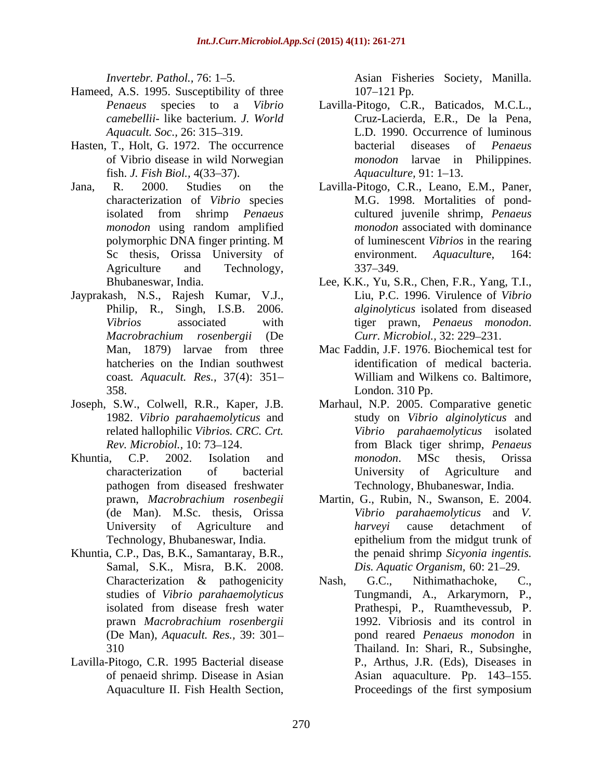- Hameed, A.S. 1995. Susceptibility of three 107–121 Pp.
- fish. *J. Fish Biol.*, 4(33–37). <br>R. 2000. Studies on the Lavilla-Pitogo, C.R., Leano,
- polymorphic DNA finger printing. M
- Jayprakash, N.S., Rajesh Kumar, V.J.,
- 
- 
- Khuntia, C.P., Das, B.K., Samantaray, B.R., Samal, S.K., Misra, B.K. 2008. prawn *Macrobrachium rosenbergii*
- Lavilla-Pitogo, C.R. 1995 Bacterial disease of penaeid shrimp. Disease in Asian

*Invertebr. Pathol.,* 76: 1–5. Asian Fisheries Society, Manilla.

- *Penaeus* species to a *Vibrio*  Lavilla-Pitogo, C.R., Baticados, M.C.L., *camebellii-* like bacterium. *J. World* Cruz-Lacierda, E.R., De la Pena, *Aquacult. Soc.,* 26: 315–319. **L.D.** 1990. Occurrence of luminous Hasten, T., Holt, G. 1972. The occurrence bacterial diseases of *Penaeus* of Vibrio disease in wild Norwegian *monodon* larvae in Philippines. bacterial diseases of *Penaeus Aquaculture,* 91: 1–13.
- Jana, R. 2000. Studies on the Lavilla-Pitogo, C.R., Leano, E.M., Paner, characterization of *Vibrio* species M.G. 1998. Mortalities of pond isolated from shrimp *Penaeus monodon* using random amplified Sc thesis, Orissa University of environment. Aquaculture, 164: Agriculture and Technology, 337–349. cultured juvenile shrimp, *Penaeus monodon* associated with dominance of luminescent *Vibrios* in the rearing environment. *Aquacultur*e, 164: 337 349.
	- Bhubaneswar, India. Lee, K.K., Yu, S.R., Chen, F.R., Yang, T.I., Philip, R., Singh, I.S.B. 2006. *alginolyticus* isolated from diseased *Vibrios* associated with tiger prawn, *Penaeus monodon*. *Macrobrachium rosenbergii* (De Liu, P.C. 1996. Virulence of *Vibrio alginolyticus* isolated from diseased *Curr. Microbiol.,* 32: 229–231.
	- Man, 1879) larvae from three Mac Faddin, J.F. 1976. Biochemical test for hatcheries on the Indian southwest identification of medical bacteria. coast*. Aquacult. Res.,* 37(4): 351 358. London. 310 Pp. William and Wilkens co. Baltimore,
- Joseph, S.W., Colwell, R.R., Kaper, J.B. Marhaul, N.P. 2005. Comparative genetic 1982. *Vibrio parahaemolyticus* and study on *Vibrio alginolyticus* and related hallophilic *Vibrios. CRC. Crt. Vibrio parahaemolyticus* isolated *Rev. Microbiol., 10:73–124. Parameter 6.13–124. Penaeus Penaeus Penaeus* Khuntia, C.P. 2002. Isolation and *monodon*. MSc thesis, Orissa characterization of bacterial pathogen from diseased freshwater from Black tiger shrimp, *Penaeus monodon*. MSc thesis, Orissa University of Agriculture and Technology, Bhubaneswar, India.
	- prawn, *Macrobrachium rosenbegii* Martin, G., Rubin, N., Swanson, E. 2004. (de Man). M.Sc. thesis, Orissa *Vibrio parahaemolyticus* and V. University of Agriculture and *harveyi* cause detachment of Technology, Bhubaneswar, India. Technology, Bhubaneswar, India. *Vibrio parahaemolyticus* and *harveyi* cause detachment of epithelium from the midgut trunk of the penaid shrimp *Sicyonia ingentis. Dis. Aquatic Organism, 60: 21-29.*
- Characterization & pathogenicity Nash, G.C., Nithimathachoke, C., studies of *Vibrio parahaemolyticus* Tungmandi, A., Arkarymorn, P., isolated from disease fresh water **Figure 2** Prathespi, P., Ruamthevessub, P. (De Man), *Aquacult. Res.,* 39: 301 pond reared *Penaeus monodon* in 310 Thailand. In: Shari, R., Subsinghe, Interestic Rate Data Controlling (Note 15.1 -5. Asian Fisheries Society, Manilla. Peaces to a Vibrio Lavilla Piopo, CR, Batiscalos, M.C.L., Peaces to a Vibrio Lavilla Piopo, CR, Batiscalos, M.C.L., Peaces to a Vibrio Lavi Nash, G.C., Nithimathachoke, C., Prathespi, P., Ruamthevessub, P. 1992. Vibriosis and its control in P., Arthus, J.R. (Eds), Diseases in Asian aquaculture. Pp. 143–155. Proceedings of the first symposium